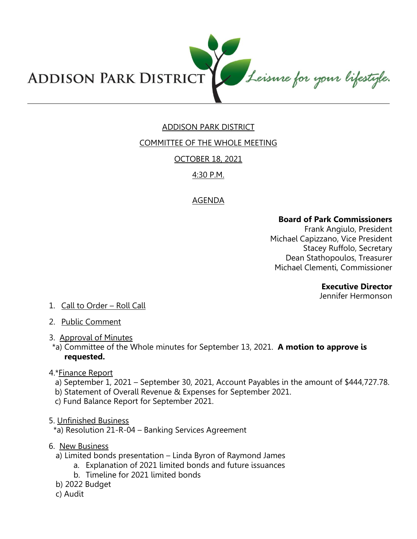

# ADDISON PARK DISTRICT

# COMMITTEE OF THE WHOLE MEETING

OCTOBER 18, 2021

# 4:30 P.M.

# AGENDA

#### **Board of Park Commissioners**

Frank Angiulo, President Michael Capizzano, Vice President Stacey Ruffolo, Secretary Dean Stathopoulos, Treasurer Michael Clementi, Commissioner

#### **Executive Director**

Jennifer Hermonson

- 1. Call to Order Roll Call
- 2. Public Comment
- 3. Approval of Minutes
- \*a) Committee of the Whole minutes for September 13, 2021. **A motion to approve is requested.**
- 4.\*Finance Report
	- a) September 1, 2021 September 30, 2021, Account Payables in the amount of \$444,727.78.
	- b) Statement of Overall Revenue & Expenses for September 2021.
	- c) Fund Balance Report for September 2021.
- 5. Unfinished Business

\*a) Resolution 21-R-04 – Banking Services Agreement

- 6. New Business
	- a) Limited bonds presentation Linda Byron of Raymond James
		- a. Explanation of 2021 limited bonds and future issuances
			- b. Timeline for 2021 limited bonds
	- b) 2022 Budget
	- c) Audit